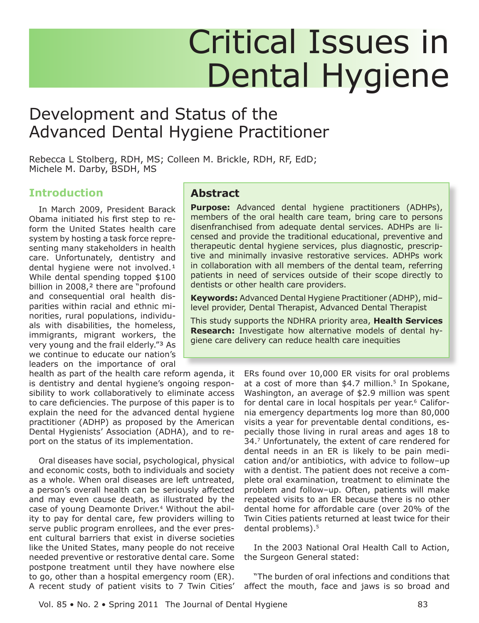# **Critical Issues in Dental Hygiene**

# Development and Status of the **Advanced Dental Hygiene Practitioner**

Rebecca L Stolberg, RDH, MS; Colleen M. Brickle, RDH, RF, EdD; Michele M. Darby, BSDH, MS

# **Introduction**

In March 2009, President Barack Obama initiated his first step to reform the United States health care system by hosting a task force representing many stakeholders in health care. Unfortunately, dentistry and dental hygiene were not involved.<sup>1</sup> While dental spending topped \$100 billion in 2008,<sup>2</sup> there are "profound and consequential oral health disparities within racial and ethnic minorities, rural populations, individuals with disabilities, the homeless, immigrants, migrant workers, the very young and the frail elderly."<sup>3</sup> As we continue to educate our nation's leaders on the importance of oral

#### health as part of the health care reform agenda, it is dentistry and dental hygiene's ongoing responsibility to work collaboratively to eliminate access to care deficiencies. The purpose of this paper is to explain the need for the advanced dental hygiene practitioner (ADHP) as proposed by the American Dental Hygienists' Association (ADHA), and to report on the status of its implementation.

Oral diseases have social, psychological, physical and economic costs, both to individuals and society as a whole. When oral diseases are left untreated, a person's overall health can be seriously affected and may even cause death, as illustrated by the case of young Deamonte Driver.<sup>4</sup> Without the ability to pay for dental care, few providers willing to serve public program enrollees, and the ever present cultural barriers that exist in diverse societies like the United States, many people do not receive needed preventive or restorative dental care. Some postpone treatment until they have nowhere else to go, other than a hospital emergency room (ER). A recent study of patient visits to 7 Twin Cities'

### **Abstract**

**Purpose:** Advanced dental hygiene practitioners (ADHPs), members of the oral health care team, bring care to persons disenfranchised from adequate dental services. ADHPs are licensed and provide the traditional educational, preventive and therapeutic dental hygiene services, plus diagnostic, prescriptive and minimally invasive restorative services. ADHPs work in collaboration with all members of the dental team, referring patients in need of services outside of their scope directly to dentists or other health care providers.

Keywords: Advanced Dental Hygiene Practitioner (ADHP), midlevel provider, Dental Therapist, Advanced Dental Therapist

This study supports the NDHRA priority area, Health Services **Research:** Investigate how alternative models of dental hygiene care delivery can reduce health care inequities

> ERs found over 10,000 ER visits for oral problems at a cost of more than \$4.7 million.<sup>5</sup> In Spokane, Washington, an average of \$2.9 million was spent for dental care in local hospitals per year.<sup>6</sup> California emergency departments log more than 80,000 visits a year for preventable dental conditions, especially those living in rural areas and ages 18 to 34.7 Unfortunately, the extent of care rendered for dental needs in an ER is likely to be pain medication and/or antibiotics, with advice to follow-up with a dentist. The patient does not receive a complete oral examination, treatment to eliminate the problem and follow-up. Often, patients will make repeated visits to an ER because there is no other dental home for affordable care (over 20% of the Twin Cities patients returned at least twice for their dental problems).<sup>5</sup>

> In the 2003 National Oral Health Call to Action, the Surgeon General stated:

> "The burden of oral infections and conditions that affect the mouth, face and jaws is so broad and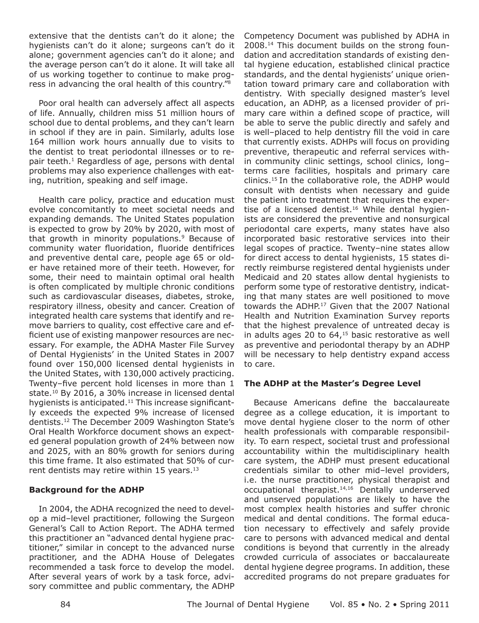extensive that the dentists can't do it alone; the hygienists can't do it alone: surgeons can't do it alone; government agencies can't do it alone; and the average person can't do it alone. It will take all of us working together to continue to make progress in advancing the oral health of this country."<sup>8</sup>

Poor oral health can adversely affect all aspects of life. Annually, children miss 51 million hours of school due to dental problems, and they can't learn in school if they are in pain. Similarly, adults lose 164 million work hours annually due to visits to the dentist to treat periodontal illnesses or to repair teeth.<sup>1</sup> Regardless of age, persons with dental problems may also experience challenges with eating, nutrition, speaking and self image.

Health care policy, practice and education must evolve concomitantly to meet societal needs and expanding demands. The United States population is expected to grow by 20% by 2020, with most of that growth in minority populations.<sup>9</sup> Because of community water fluoridation, fluoride dentifrices and preventive dental care, people age 65 or older have retained more of their teeth. However, for some, their need to maintain optimal oral health is often complicated by multiple chronic conditions such as cardiovascular diseases, diabetes, stroke, respiratory illness, obesity and cancer. Creation of integrated health care systems that identify and remove barriers to quality, cost effective care and efficient use of existing manpower resources are necessary. For example, the ADHA Master File Survey of Dental Hygienists' in the United States in 2007 found over 150,000 licensed dental hygienists in the United States, with 130,000 actively practicing. Twenty-five percent hold licenses in more than 1 state.<sup>10</sup> By 2016, a 30% increase in licensed dental hygienists is anticipated.<sup>11</sup> This increase significantly exceeds the expected 9% increase of licensed dentists.<sup>12</sup> The December 2009 Washington State's Oral Health Workforce document shows an expected general population growth of 24% between now and 2025, with an 80% growth for seniors during this time frame. It also estimated that 50% of current dentists may retire within 15 years.<sup>13</sup>

#### **Background for the ADHP**

In 2004, the ADHA recognized the need to develop a mid-level practitioner, following the Surgeon General's Call to Action Report. The ADHA termed this practitioner an "advanced dental hygiene practitioner," similar in concept to the advanced nurse practitioner, and the ADHA House of Delegates recommended a task force to develop the model. After several years of work by a task force, advisory committee and public commentary, the ADHP Competency Document was published by ADHA in 2008.<sup>14</sup> This document builds on the strong foundation and accreditation standards of existing dental hygiene education, established clinical practice standards, and the dental hygienists' unique orientation toward primary care and collaboration with dentistry. With specially designed master's level education, an ADHP, as a licensed provider of primary care within a defined scope of practice, will be able to serve the public directly and safely and is well-placed to help dentistry fill the void in care that currently exists. ADHPs will focus on providing preventive, therapeutic and referral services within community clinic settings, school clinics, longterms care facilities, hospitals and primary care clinics.<sup>15</sup> In the collaborative role, the ADHP would consult with dentists when necessary and guide the patient into treatment that requires the expertise of a licensed dentist.<sup>16</sup> While dental hygienists are considered the preventive and nonsurgical periodontal care experts, many states have also incorporated basic restorative services into their legal scopes of practice. Twenty-nine states allow for direct access to dental hygienists, 15 states directly reimburse registered dental hygienists under Medicaid and 20 states allow dental hygienists to perform some type of restorative dentistry, indicating that many states are well positioned to move towards the ADHP.<sup>17</sup> Given that the 2007 National Health and Nutrition Examination Survey reports that the highest prevalence of untreated decay is in adults ages 20 to  $64<sub>1</sub>^{15}$  basic restorative as well as preventive and periodontal therapy by an ADHP will be necessary to help dentistry expand access to care.

#### The ADHP at the Master's Degree Level

Because Americans define the baccalaureate degree as a college education, it is important to move dental hygiene closer to the norm of other health professionals with comparable responsibility. To earn respect, societal trust and professional accountability within the multidisciplinary health care system, the ADHP must present educational credentials similar to other mid-level providers, i.e. the nurse practitioner, physical therapist and occupational therapist.<sup>14,16</sup> Dentally underserved and unserved populations are likely to have the most complex health histories and suffer chronic medical and dental conditions. The formal education necessary to effectively and safely provide care to persons with advanced medical and dental conditions is beyond that currently in the already crowded curricula of associates or baccalaureate dental hygiene degree programs. In addition, these accredited programs do not prepare graduates for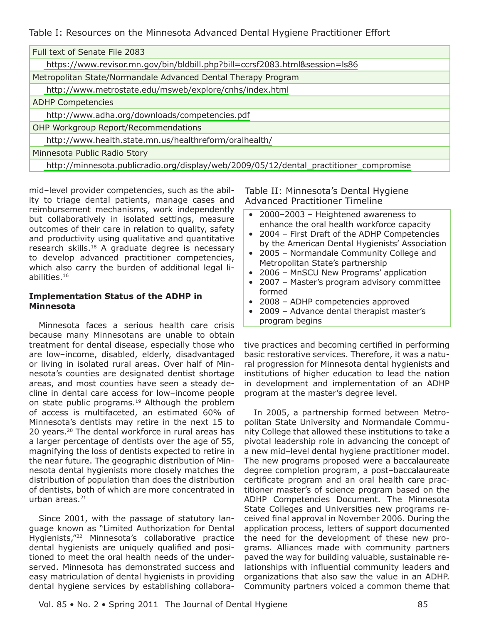Table I: Resources on the Minnesota Advanced Dental Hygiene Practitioner Effort

| Full text of Senate File 2083                                                          |  |  |
|----------------------------------------------------------------------------------------|--|--|
| https://www.revisor.mn.gov/bin/bldbill.php?bill=ccrsf2083.html&session=ls86            |  |  |
| Metropolitan State/Normandale Advanced Dental Therapy Program                          |  |  |
| http://www.metrostate.edu/msweb/explore/cnhs/index.html                                |  |  |
| <b>ADHP Competencies</b>                                                               |  |  |
| http://www.adha.org/downloads/competencies.pdf                                         |  |  |
| OHP Workgroup Report/Recommendations                                                   |  |  |
| http://www.health.state.mn.us/healthreform/oralhealth/                                 |  |  |
| Minnesota Public Radio Story                                                           |  |  |
| http://minnesota.publicradio.org/display/web/2009/05/12/dental_practitioner_compromise |  |  |

mid-level provider competencies, such as the ability to triage dental patients, manage cases and reimbursement mechanisms, work independently but collaboratively in isolated settings, measure outcomes of their care in relation to quality, safety and productivity using qualitative and quantitative research skills.<sup>18</sup> A graduate degree is necessary to develop advanced practitioner competencies, which also carry the burden of additional legal liabilities. $16$ 

#### **Implementation Status of the ADHP in Minnesota**

Minnesota faces a serious health care crisis because many Minnesotans are unable to obtain treatment for dental disease, especially those who are low-income, disabled, elderly, disadvantaged or living in isolated rural areas. Over half of Minnesota's counties are designated dentist shortage areas, and most counties have seen a steady decline in dental care access for low-income people on state public programs.<sup>19</sup> Although the problem of access is multifaceted, an estimated 60% of Minnesota's dentists may retire in the next 15 to 20 years.<sup>20</sup> The dental workforce in rural areas has a larger percentage of dentists over the age of 55, magnifying the loss of dentists expected to retire in the near future. The geographic distribution of Minnesota dental hygienists more closely matches the distribution of population than does the distribution of dentists, both of which are more concentrated in urban areas. $21$ 

Since 2001, with the passage of statutory language known as "Limited Authorization for Dental Hygienists,"<sup>22</sup> Minnesota's collaborative practice dental hygienists are uniquely qualified and positioned to meet the oral health needs of the underserved. Minnesota has demonstrated success and easy matriculation of dental hygienists in providing dental hygiene services by establishing collaboraTable II: Minnesota's Dental Hygiene **Advanced Practitioner Timeline** 

- 2000-2003 Heightened awareness to enhance the oral health workforce capacity
- $\bullet$ 2004 - First Draft of the ADHP Competencies by the American Dental Hygienists' Association
- 2005 Normandale Community College and Metropolitan State's partnership
- 2006 MnSCU New Programs' application
- 2007 Master's program advisory committee formed
- 2008 ADHP competencies approved
- 2009 Advance dental therapist master's program begins

tive practices and becoming certified in performing basic restorative services. Therefore, it was a natural progression for Minnesota dental hygienists and institutions of higher education to lead the nation in development and implementation of an ADHP program at the master's degree level.

In 2005, a partnership formed between Metropolitan State University and Normandale Community College that allowed these institutions to take a pivotal leadership role in advancing the concept of a new mid-level dental hygiene practitioner model. The new programs proposed were a baccalaureate degree completion program, a post-baccalaureate certificate program and an oral health care practitioner master's of science program based on the ADHP Competencies Document. The Minnesota State Colleges and Universities new programs received final approval in November 2006. During the application process, letters of support documented the need for the development of these new programs. Alliances made with community partners paved the way for building valuable, sustainable relationships with influential community leaders and organizations that also saw the value in an ADHP. Community partners voiced a common theme that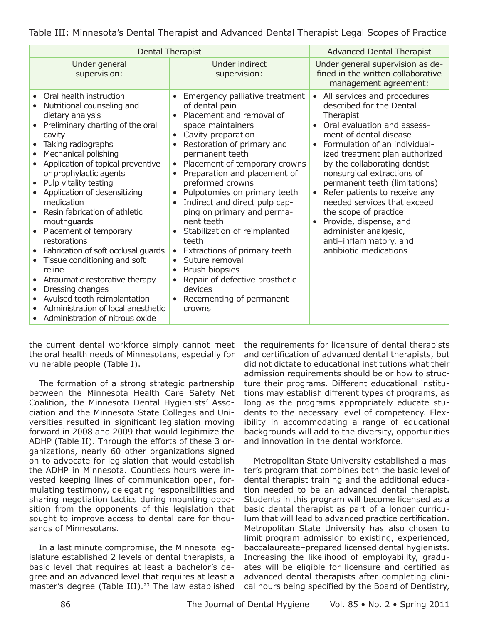Table III: Minnesota's Dental Therapist and Advanced Dental Therapist Legal Scopes of Practice

| Dental Therapist                                                                                                                                                                                                                                                                                                                                                                                                                                                                                                                                                                                                                                                                                                                    |                                                                                                                                                                                                                                                                                                                                                                                                                                                                                                                                                                                                                                                                                           | <b>Advanced Dental Therapist</b>                                                                                                                                                                                                                                                                                                                                                                                                                                                                                            |
|-------------------------------------------------------------------------------------------------------------------------------------------------------------------------------------------------------------------------------------------------------------------------------------------------------------------------------------------------------------------------------------------------------------------------------------------------------------------------------------------------------------------------------------------------------------------------------------------------------------------------------------------------------------------------------------------------------------------------------------|-------------------------------------------------------------------------------------------------------------------------------------------------------------------------------------------------------------------------------------------------------------------------------------------------------------------------------------------------------------------------------------------------------------------------------------------------------------------------------------------------------------------------------------------------------------------------------------------------------------------------------------------------------------------------------------------|-----------------------------------------------------------------------------------------------------------------------------------------------------------------------------------------------------------------------------------------------------------------------------------------------------------------------------------------------------------------------------------------------------------------------------------------------------------------------------------------------------------------------------|
| Under general<br>supervision:                                                                                                                                                                                                                                                                                                                                                                                                                                                                                                                                                                                                                                                                                                       | Under indirect<br>supervision:                                                                                                                                                                                                                                                                                                                                                                                                                                                                                                                                                                                                                                                            | Under general supervision as de-<br>fined in the written collaborative<br>management agreement:                                                                                                                                                                                                                                                                                                                                                                                                                             |
| Oral health instruction<br>Nutritional counseling and<br>dietary analysis<br>Preliminary charting of the oral<br>cavity<br>Taking radiographs<br>$\bullet$<br>Mechanical polishing<br>Application of topical preventive<br>or prophylactic agents<br>Pulp vitality testing<br>$\bullet$<br>Application of desensitizing<br>$\bullet$<br>medication<br>Resin fabrication of athletic<br>mouthguards<br>Placement of temporary<br>$\bullet$<br>restorations<br>Fabrication of soft occlusal guards<br>Tissue conditioning and soft<br>$\bullet$<br>reline<br>Atraumatic restorative therapy<br>Dressing changes<br>$\bullet$<br>Avulsed tooth reimplantation<br>Administration of local anesthetic<br>Administration of nitrous oxide | Emergency palliative treatment<br>of dental pain<br>Placement and removal of<br>space maintainers<br>Cavity preparation<br>$\bullet$<br>Restoration of primary and<br>$\bullet$<br>permanent teeth<br>Placement of temporary crowns<br>Preparation and placement of<br>$\bullet$<br>preformed crowns<br>Pulpotomies on primary teeth<br>$\bullet$<br>Indirect and direct pulp cap-<br>ping on primary and perma-<br>nent teeth<br>Stabilization of reimplanted<br>$\bullet$<br>teeth<br>Extractions of primary teeth<br>$\bullet$<br>Suture removal<br><b>Brush biopsies</b><br>$\bullet$<br>Repair of defective prosthetic<br>devices<br>Recementing of permanent<br>$\bullet$<br>crowns | All services and procedures<br>$\bullet$<br>described for the Dental<br>Therapist<br>Oral evaluation and assess-<br>ment of dental disease<br>• Formulation of an individual-<br>ized treatment plan authorized<br>by the collaborating dentist<br>nonsurgical extractions of<br>permanent teeth (limitations)<br>Refer patients to receive any<br>$\bullet$<br>needed services that exceed<br>the scope of practice<br>Provide, dispense, and<br>administer analgesic,<br>anti-inflammatory, and<br>antibiotic medications |

the current dental workforce simply cannot meet the oral health needs of Minnesotans, especially for vulnerable people (Table I).

The formation of a strong strategic partnership between the Minnesota Health Care Safety Net Coalition, the Minnesota Dental Hygienists' Association and the Minnesota State Colleges and Universities resulted in significant legislation moving forward in 2008 and 2009 that would legitimize the ADHP (Table II). Through the efforts of these 3 organizations, nearly 60 other organizations signed on to advocate for legislation that would establish the ADHP in Minnesota. Countless hours were invested keeping lines of communication open, formulating testimony, delegating responsibilities and sharing negotiation tactics during mounting opposition from the opponents of this legislation that sought to improve access to dental care for thousands of Minnesotans.

In a last minute compromise, the Minnesota legislature established 2 levels of dental therapists, a basic level that requires at least a bachelor's degree and an advanced level that requires at least a master's degree (Table III).<sup>23</sup> The law established the requirements for licensure of dental therapists and certification of advanced dental therapists, but did not dictate to educational institutions what their admission requirements should be or how to structure their programs. Different educational institutions may establish different types of programs, as long as the programs appropriately educate students to the necessary level of competency. Flexibility in accommodating a range of educational backgrounds will add to the diversity, opportunities and innovation in the dental workforce.

Metropolitan State University established a master's program that combines both the basic level of dental therapist training and the additional education needed to be an advanced dental therapist. Students in this program will become licensed as a basic dental therapist as part of a longer curriculum that will lead to advanced practice certification. Metropolitan State University has also chosen to limit program admission to existing, experienced, baccalaureate-prepared licensed dental hygienists. Increasing the likelihood of employability, graduates will be eligible for licensure and certified as advanced dental therapists after completing clinical hours being specified by the Board of Dentistry,

The Journal of Dental Hygiene

Vol. 85 . No. 2 . Spring 2011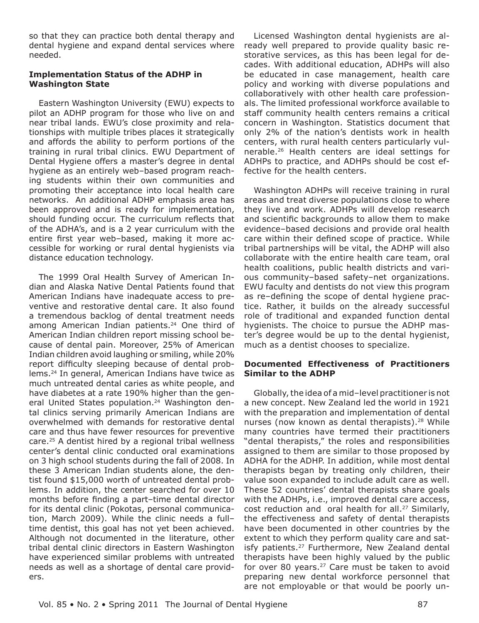so that they can practice both dental therapy and dental hygiene and expand dental services where needed.

#### **Implementation Status of the ADHP in Washington State**

Eastern Washington University (EWU) expects to pilot an ADHP program for those who live on and near tribal lands. EWU's close proximity and relationships with multiple tribes places it strategically and affords the ability to perform portions of the training in rural tribal clinics. EWU Department of Dental Hygiene offers a master's degree in dental hygiene as an entirely web-based program reaching students within their own communities and promoting their acceptance into local health care networks. An additional ADHP emphasis area has been approved and is ready for implementation, should funding occur. The curriculum reflects that of the ADHA's, and is a 2 year curriculum with the entire first year web-based, making it more accessible for working or rural dental hygienists via distance education technology.

The 1999 Oral Health Survey of American Indian and Alaska Native Dental Patients found that American Indians have inadequate access to preventive and restorative dental care. It also found a tremendous backlog of dental treatment needs among American Indian patients.<sup>24</sup> One third of American Indian children report missing school because of dental pain. Moreover, 25% of American Indian children avoid laughing or smiling, while 20% report difficulty sleeping because of dental problems.<sup>24</sup> In general, American Indians have twice as much untreated dental caries as white people, and have diabetes at a rate 190% higher than the general United States population.<sup>24</sup> Washington dental clinics serving primarily American Indians are overwhelmed with demands for restorative dental care and thus have fewer resources for preventive care.<sup>25</sup> A dentist hired by a regional tribal wellness center's dental clinic conducted oral examinations on 3 high school students during the fall of 2008. In these 3 American Indian students alone, the dentist found \$15,000 worth of untreated dental problems. In addition, the center searched for over 10 months before finding a part-time dental director for its dental clinic (Pokotas, personal communication, March 2009). While the clinic needs a fulltime dentist, this goal has not yet been achieved. Although not documented in the literature, other tribal dental clinic directors in Eastern Washington have experienced similar problems with untreated needs as well as a shortage of dental care providers.

Licensed Washington dental hygienists are already well prepared to provide quality basic restorative services, as this has been legal for decades. With additional education, ADHPs will also be educated in case management, health care policy and working with diverse populations and collaboratively with other health care professionals. The limited professional workforce available to staff community health centers remains a critical concern in Washington. Statistics document that only 2% of the nation's dentists work in health centers, with rural health centers particularly vulnerable.<sup>26</sup> Health centers are ideal settings for ADHPs to practice, and ADHPs should be cost effective for the health centers.

Washington ADHPs will receive training in rural areas and treat diverse populations close to where they live and work. ADHPs will develop research and scientific backgrounds to allow them to make evidence-based decisions and provide oral health care within their defined scope of practice. While tribal partnerships will be vital, the ADHP will also collaborate with the entire health care team, oral health coalitions, public health districts and various community-based safety-net organizations. EWU faculty and dentists do not view this program as re-defining the scope of dental hygiene practice. Rather, it builds on the already successful role of traditional and expanded function dental hygienists. The choice to pursue the ADHP master's degree would be up to the dental hygienist, much as a dentist chooses to specialize.

#### **Documented Effectiveness of Practitioners Similar to the ADHP**

Globally, the idea of a mid-level practitioner is not a new concept. New Zealand led the world in 1921 with the preparation and implementation of dental nurses (now known as dental therapists).<sup>28</sup> While many countries have termed their practitioners "dental therapists," the roles and responsibilities assigned to them are similar to those proposed by ADHA for the ADHP. In addition, while most dental therapists began by treating only children, their value soon expanded to include adult care as well. These 52 countries' dental therapists share goals with the ADHPs, i.e., improved dental care access, cost reduction and oral health for all.<sup>27</sup> Similarly, the effectiveness and safety of dental therapists have been documented in other countries by the extent to which they perform quality care and satisfy patients.<sup>27</sup> Furthermore, New Zealand dental therapists have been highly valued by the public for over 80 years.<sup>27</sup> Care must be taken to avoid preparing new dental workforce personnel that are not employable or that would be poorly un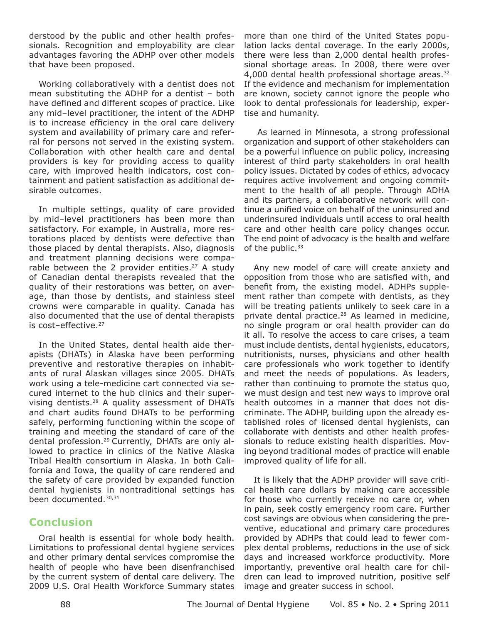derstood by the public and other health professionals. Recognition and emplovability are clear advantages favoring the ADHP over other models that have been proposed.

Working collaboratively with a dentist does not mean substituting the ADHP for a dentist - both have defined and different scopes of practice. Like any mid-level practitioner, the intent of the ADHP is to increase efficiency in the oral care delivery system and availability of primary care and referral for persons not served in the existing system. Collaboration with other health care and dental providers is key for providing access to quality care, with improved health indicators, cost containment and patient satisfaction as additional desirable outcomes.

In multiple settings, quality of care provided by mid-level practitioners has been more than satisfactory. For example, in Australia, more restorations placed by dentists were defective than those placed by dental therapists. Also, diagnosis and treatment planning decisions were comparable between the 2 provider entities.<sup>27</sup> A study of Canadian dental therapists revealed that the quality of their restorations was better, on average, than those by dentists, and stainless steel crowns were comparable in quality. Canada has also documented that the use of dental therapists is cost-effective.<sup>27</sup>

In the United States, dental health aide therapists (DHATs) in Alaska have been performing preventive and restorative therapies on inhabitants of rural Alaskan villages since 2005. DHATs work using a tele-medicine cart connected via secured internet to the hub clinics and their supervising dentists.<sup>28</sup> A quality assessment of DHATs and chart audits found DHATs to be performing safely, performing functioning within the scope of training and meeting the standard of care of the dental profession.<sup>29</sup> Currently, DHATs are only allowed to practice in clinics of the Native Alaska Tribal Health consortium in Alaska. In both California and Iowa, the quality of care rendered and the safety of care provided by expanded function dental hygienists in nontraditional settings has been documented.<sup>30,31</sup>

# **Conclusion**

Oral health is essential for whole body health. Limitations to professional dental hygiene services and other primary dental services compromise the health of people who have been disenfranchised by the current system of dental care delivery. The 2009 U.S. Oral Health Workforce Summary states more than one third of the United States population lacks dental coverage. In the early 2000s, there were less than 2,000 dental health professional shortage areas. In 2008, there were over 4,000 dental health professional shortage areas.<sup>32</sup> If the evidence and mechanism for implementation are known, society cannot ignore the people who look to dental professionals for leadership, expertise and humanity.

As learned in Minnesota, a strong professional organization and support of other stakeholders can be a powerful influence on public policy, increasing interest of third party stakeholders in oral health policy issues. Dictated by codes of ethics, advocacy requires active involvement and ongoing commitment to the health of all people. Through ADHA and its partners, a collaborative network will continue a unified voice on behalf of the uninsured and underinsured individuals until access to oral health care and other health care policy changes occur. The end point of advocacy is the health and welfare of the public.<sup>33</sup>

Any new model of care will create anxiety and opposition from those who are satisfied with, and benefit from, the existing model. ADHPs supplement rather than compete with dentists, as they will be treating patients unlikely to seek care in a private dental practice.<sup>28</sup> As learned in medicine, no single program or oral health provider can do it all. To resolve the access to care crises, a team must include dentists, dental hygienists, educators, nutritionists, nurses, physicians and other health care professionals who work together to identify and meet the needs of populations. As leaders, rather than continuing to promote the status quo, we must design and test new ways to improve oral health outcomes in a manner that does not discriminate. The ADHP, building upon the already established roles of licensed dental hygienists, can collaborate with dentists and other health professionals to reduce existing health disparities. Moving beyond traditional modes of practice will enable improved quality of life for all.

It is likely that the ADHP provider will save critical health care dollars by making care accessible for those who currently receive no care or, when in pain, seek costly emergency room care. Further cost savings are obvious when considering the preventive, educational and primary care procedures provided by ADHPs that could lead to fewer complex dental problems, reductions in the use of sick days and increased workforce productivity. More importantly, preventive oral health care for children can lead to improved nutrition, positive self image and greater success in school.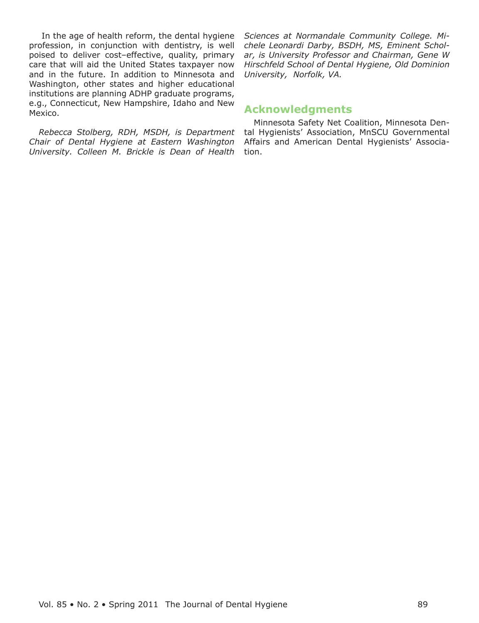In the age of health reform, the dental hygiene profession, in conjunction with dentistry, is well poised to deliver cost-effective, quality, primary care that will aid the United States taxpayer now and in the future. In addition to Minnesota and Washington, other states and higher educational institutions are planning ADHP graduate programs, e.g., Connecticut, New Hampshire, Idaho and New Mexico.

Rebecca Stolberg, RDH, MSDH, is Department Chair of Dental Hygiene at Eastern Washington University. Colleen M. Brickle is Dean of Health Sciences at Normandale Community College. Michele Leonardi Darby, BSDH, MS, Eminent Scholar, is University Professor and Chairman, Gene W Hirschfeld School of Dental Hygiene, Old Dominion University, Norfolk, VA.

# **Acknowledgments**

Minnesota Safety Net Coalition, Minnesota Dental Hygienists' Association, MnSCU Governmental Affairs and American Dental Hygienists' Association.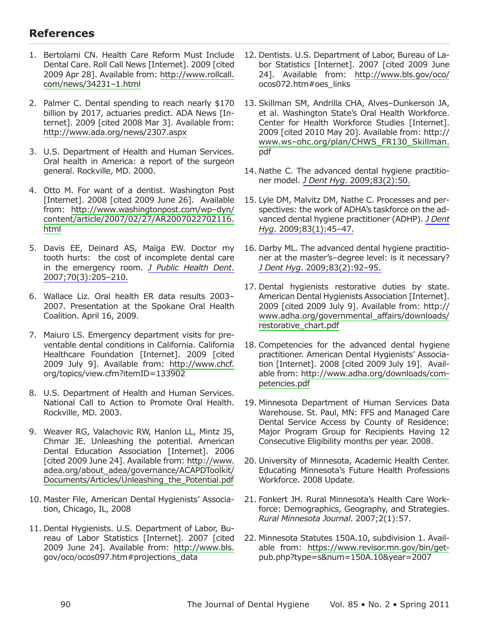# **References**

- 1. Bertolami CN. Health Care Reform Must Include Dental Care. Roll Call News [Internet]. 2009 [cited 2009 Apr 28]. Available from: http://www.rollcall. com/news/34231-1.html
- 2. Palmer C. Dental spending to reach nearly \$170 billion by 2017, actuaries predict. ADA News [Internet]. 2009 [cited 2008 Mar 3]. Available from: http://www.ada.org/news/2307.aspx
- 3. U.S. Department of Health and Human Services. Oral health in America: a report of the surgeon general. Rockville, MD. 2000.
- 4. Otto M. For want of a dentist. Washington Post [Internet]. 2008 [cited 2009 June 26]. Available from: http://www.washingtonpost.com/wp-dyn/ content/article/2007/02/27/AR2007022702116. html
- 5. Davis EE, Deinard AS, Maïga EW. Doctor my tooth hurts: the cost of incomplete dental care in the emergency room. J Public Health Dent. 2007;70(3):205-210.
- 6. Wallace Liz. Oral health ER data results 2003-2007. Presentation at the Spokane Oral Health Coalition. April 16, 2009.
- 7. Maiuro LS. Emergency department visits for preventable dental conditions in California. California Healthcare Foundation [Internet]. 2009 [cited 2009 July 9]. Available from: http://www.chcf. org/topics/view.cfm?itemID=133902
- 8. U.S. Department of Health and Human Services. National Call to Action to Promote Oral Health. Rockville, MD. 2003.
- 9. Weaver RG, Valachovic RW, Hanlon LL, Mintz JS, Chmar JE. Unleashing the potential. American Dental Education Association [Internet]. 2006 [cited 2009 June 24]. Available from: http://www. adea.org/about\_adea/governance/ACAPDToolkit/ Documents/Articles/Unleashing\_the\_Potential.pdf
- 10. Master File, American Dental Hygienists' Association, Chicago, IL, 2008
- 11. Dental Hygienists. U.S. Department of Labor, Bureau of Labor Statistics [Internet]. 2007 [cited 2009 June 24]. Available from: http://www.bls. gov/oco/ocos097.htm#projections\_data
- 12. Dentists. U.S. Department of Labor, Bureau of Labor Statistics [Internet]. 2007 [cited 2009 June 24]. Available from: http://www.bls.gov/oco/ ocos072.htm#oes links
- 13. Skillman SM, Andrilla CHA, Alves-Dunkerson JA, et al. Washington State's Oral Health Workforce. Center for Health Workforce Studies [Internet]. 2009 [cited 2010 May 20]. Available from: http:// www.ws-ohc.org/plan/CHWS FR130 Skillman. pdf
- 14. Nathe C. The advanced dental hygiene practitioner model. J Dent Hyg. 2009;83(2):50.
- 15. Lyle DM, Malvitz DM, Nathe C. Processes and perspectives: the work of ADHA's taskforce on the advanced dental hygiene practitioner (ADHP). J Dent Hyg. 2009;83(1):45-47.
- 16. Darby ML. The advanced dental hygiene practitioner at the master's-degree level: is it necessary? J Dent Hyg. 2009;83(2):92-95.
- 17. Dental hygienists restorative duties by state. American Dental Hygienists Association [Internet]. 2009 [cited 2009 July 9]. Available from: http:// www.adha.org/governmental affairs/downloads/ restorative\_chart.pdf
- 18. Competencies for the advanced dental hygiene practitioner. American Dental Hygienists' Association [Internet]. 2008 [cited 2009 July 19]. Available from: http://www.adha.org/downloads/competencies.pdf
- 19. Minnesota Department of Human Services Data Warehouse. St. Paul, MN: FFS and Managed Care Dental Service Access by County of Residence: Major Program Group for Recipients Having 12 Consecutive Eligibility months per year. 2008.
- 20. University of Minnesota, Academic Health Center. Educating Minnesota's Future Health Professions Workforce. 2008 Update.
- 21. Fonkert JH. Rural Minnesota's Health Care Workforce: Demographics, Geography, and Strategies. Rural Minnesota Journal. 2007;2(1):57.
- 22. Minnesota Statutes 150A.10, subdivision 1. Available from: https://www.revisor.mn.gov/bin/getpub.php?type=s&num=150A.10&year=2007